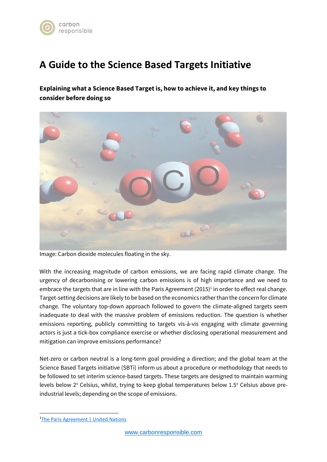

# **A Guide to the Science Based Targets Initiative**

**Explaining what a Science Based Target is, how to achieve it, and key things to consider before doing so**



Image: Carbon dioxide molecules floating in the sky.

With the increasing magnitude of carbon emissions, we are facing rapid climate change. The urgency of decarbonising or lowering carbon emissions is of high importance and we need to embrace the targets that are in line with the Paris Agreement (2015)<sup>1</sup> in order to effect real change. Target-setting decisions are likely to be based on the economics rather than the concern for climate change. The voluntary top-down approach followed to govern the climate-aligned targets seem inadequate to deal with the massive problem of emissions reduction. The question is whether emissions reporting, publicly committing to targets vis-à-vis engaging with climate governing actors is just a tick-box compliance exercise or whether disclosing operational measurement and mitigation can improve emissions performance?

Net-zero or carbon neutral is a long-term goal providing a direction; and the global team at the Science Based Targets initiative (SBTi) inform us about a procedure or methodology that needs to be followed to set interim science-based targets. These targets are designed to maintain warming levels below 2° Celsius, whilst, trying to keep global temperatures below 1.5° Celsius above preindustrial levels; depending on the scope of emissions.

<sup>1</sup>[The Paris Agreement | United Nations](https://www.un.org/en/climatechange/paris-agreement?msclkid=ad238f97d07611ec931436ab8220948b)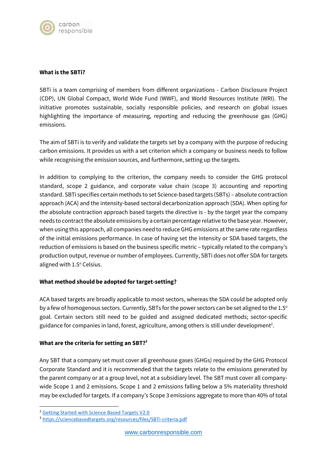

## **What is the SBTi?**

SBTi is a team comprising of members from different organizations - Carbon Disclosure Project (CDP), UN Global Compact, World Wide Fund (WWF), and World Resources Institute (WRI). The initiative promotes sustainable, socially responsible policies, and research on global issues highlighting the importance of measuring, reporting and reducing the greenhouse gas (GHG) emissions.

The aim of SBTi is to verify and validate the targets set by a company with the purpose of reducing carbon emissions. It provides us with a set criterion which a company or business needs to follow while recognising the emission sources, and furthermore, setting up the targets.

In addition to complying to the criterion, the company needs to consider the GHG protocol standard, scope 2 guidance, and corporate value chain (scope 3) accounting and reporting standard. SBTi specifies certain methods to set Science-based targets (SBTs) – absolute contraction approach (ACA) and the intensity-based sectoral decarbonization approach (SDA). When opting for the absolute contraction approach based targets the directive is - by the target year the company needs to contract the absolute emissions by a certain percentage relative to the base year.However, when using this approach, all companies need to reduce GHG emissions at the same rate regardless of the initial emissions performance. In case of having set the intensity or SDA based targets, the reduction of emissions is based on the business specific metric – typically related to the company's production output, revenue or number of employees. Currently, SBTi does not offer SDA for targets aligned with 1.5° Celsius.

## **What method should be adopted for target-setting?**

ACA based targets are broadly applicable to most sectors, whereas the SDA could be adopted only by a few of homogenous sectors. Currently, SBTs for the power sectors can be set aligned to the 1.5° goal. Certain sectors still need to be guided and assigned dedicated methods; sector-specific guidance for companies in land, forest, agriculture, among others is still under development<sup>2</sup>.

## **What are the criteria for setting an SBT?<sup>3</sup>**

Any SBT that a company set must cover all greenhouse gases (GHGs) required by the GHG Protocol Corporate Standard and it is recommended that the targets relate to the emissions generated by the parent company or at a group level, not at a subsidiary level. The SBT must cover all companywide Scope 1 and 2 emissions. Scope 1 and 2 emissions falling below a 5% materiality threshold may be excluded for targets. If a company's Scope 3 emissions aggregate to more than 40% of total

<sup>2</sup> [Getting Started with Science Based Targets V2.0](https://sciencebasedtargets.org/resources/files/SBTi-How-To-Guide.pdf)

<sup>3</sup> <https://sciencebasedtargets.org/resources/files/SBTi-criteria.pdf>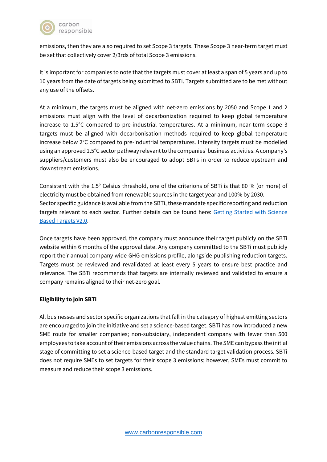

emissions, then they are also required to set Scope 3 targets. These Scope 3 near-term target must be set that collectively cover 2/3rds of total Scope 3 emissions.

It is important for companies to note that the targets must cover at least a span of 5 years and up to 10 years from the date of targets being submitted to SBTi. Targets submitted are to be met without any use of the offsets.

At a minimum, the targets must be aligned with net-zero emissions by 2050 and Scope 1 and 2 emissions must align with the level of decarbonization required to keep global temperature increase to 1.5°C compared to pre-industrial temperatures. At a minimum, near-term scope 3 targets must be aligned with decarbonisation methods required to keep global temperature increase below 2°C compared to pre-industrial temperatures. Intensity targets must be modelled using an approved 1.5°C sector pathway relevant to the companies' business activities. A company's suppliers/customers must also be encouraged to adopt SBTs in order to reduce upstream and downstream emissions.

Consistent with the 1.5° Celsius threshold, one of the criterions of SBTi is that 80 % (or more) of electricity must be obtained from renewable sources in the target year and 100% by 2030. Sector specific guidance is available from the SBTi, these mandate specific reporting and reduction targets relevant to each sector. Further details can be found here: Getting Started with Science [Based Targets V2.0.](https://sciencebasedtargets.org/resources/files/SBTi-How-To-Guide.pdf)

Once targets have been approved, the company must announce their target publicly on the SBTi website within 6 months of the approval date. Any company committed to the SBTi must publicly report their annual company wide GHG emissions profile, alongside publishing reduction targets. Targets must be reviewed and revalidated at least every 5 years to ensure best practice and relevance. The SBTi recommends that targets are internally reviewed and validated to ensure a company remains aligned to their net-zero goal.

# **Eligibility to join SBTi**

All businesses and sector specific organizations that fall in the category of highest emitting sectors are encouraged to join the initiative and set a science-based target. SBTi has now introduced a new SME route for smaller companies; non-subsidiary, independent company with fewer than 500 employees to take account of their emissions across the value chains. The SME can bypass the initial stage of committing to set a science-based target and the standard target validation process. SBTi does not require SMEs to set targets for their scope 3 emissions; however, SMEs must commit to measure and reduce their scope 3 emissions.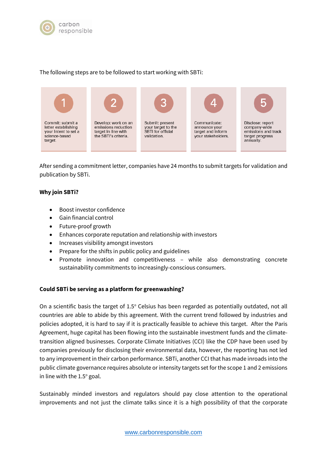

## The following steps are to be followed to start working with SBTi:



After sending a commitment letter, companies have 24 months to submit targets for validation and publication by SBTi.

## **Why join SBTi?**

- Boost investor confidence
- Gain financial control
- Future-proof growth
- Enhances corporate reputation and relationship with investors
- Increases visibility amongst investors
- Prepare for the shifts in public policy and guidelines
- Promote innovation and competitiveness while also demonstrating concrete sustainability commitments to increasingly-conscious consumers.

## **Could SBTi be serving as a platform for greenwashing?**

On a scientific basis the target of  $1.5^{\circ}$  Celsius has been regarded as potentially outdated, not all countries are able to abide by this agreement. With the current trend followed by industries and policies adopted, it is hard to say if it is practically feasible to achieve this target. After the Paris Agreement, huge capital has been flowing into the sustainable investment funds and the climatetransition aligned businesses. Corporate Climate Initiatives (CCI) like the CDP have been used by companies previously for disclosing their environmental data, however, the reporting has not led to any improvement in their carbon performance. SBTi, another CCI that has made inroads into the public climate governance requires absolute or intensity targets set for the scope 1 and 2 emissions in line with the  $1.5^{\circ}$  goal.

Sustainably minded investors and regulators should pay close attention to the operational improvements and not just the climate talks since it is a high possibility of that the corporate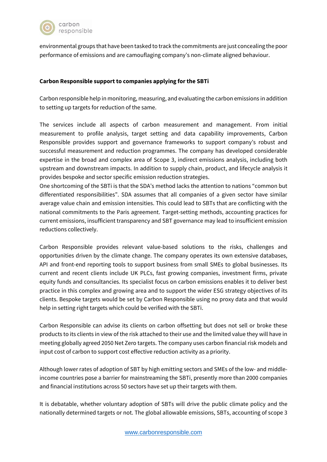

environmental groups that have been tasked to track the commitments are just concealing the poor performance of emissions and are camouflaging company's non-climate aligned behaviour.

## **Carbon Responsible support to companies applying for the SBTi**

Carbon responsible help in monitoring, measuring, and evaluating the carbon emissions in addition to setting up targets for reduction of the same.

The services include all aspects of carbon measurement and management. From initial measurement to profile analysis, target setting and data capability improvements, Carbon Responsible provides support and governance frameworks to support company's robust and successful measurement and reduction programmes. The company has developed considerable expertise in the broad and complex area of Scope 3, indirect emissions analysis, including both upstream and downstream impacts. In addition to supply chain, product, and lifecycle analysis it provides bespoke and sector specific emission reduction strategies.

One shortcoming of the SBTi is that the SDA's method lacks the attention to nations "common but differentiated responsibilities". SDA assumes that all companies of a given sector have similar average value chain and emission intensities. This could lead to SBTs that are conflicting with the national commitments to the Paris agreement. Target-setting methods, accounting practices for current emissions, insufficient transparency and SBT governance may lead to insufficient emission reductions collectively.

Carbon Responsible provides relevant value-based solutions to the risks, challenges and opportunities driven by the climate change. The company operates its own extensive databases, API and front-end reporting tools to support business from small SMEs to global businesses. Its current and recent clients include UK PLCs, fast growing companies, investment firms, private equity funds and consultancies. Its specialist focus on carbon emissions enables it to deliver best practice in this complex and growing area and to support the wider ESG strategy objectives of its clients. Bespoke targets would be set by Carbon Responsible using no proxy data and that would help in setting right targets which could be verified with the SBTi.

Carbon Responsible can advise its clients on carbon offsetting but does not sell or broke these products to its clients in view of the risk attached to their use and the limited value they will have in meeting globally agreed 2050 Net Zero targets. The company uses carbon financial risk models and input cost of carbon to support cost effective reduction activity as a priority.

Although lower rates of adoption of SBT by high emitting sectors and SMEs of the low- and middleincome countries pose a barrier for mainstreaming the SBTi, presently more than 2000 companies and financial institutions across 50 sectors have set up their targets with them.

It is debatable, whether voluntary adoption of SBTs will drive the public climate policy and the nationally determined targets or not. The global allowable emissions, SBTs, accounting of scope 3